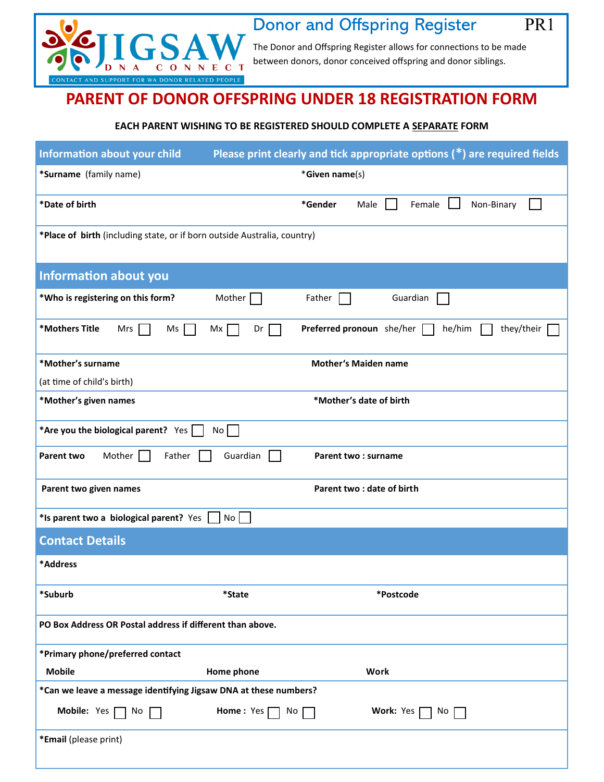

## Donor and Offspring Register PR1

Ī

The Donor and Offspring Register allows for connections to be made between donors, donor conceived offspring and donor siblings.

## **PARENT OF DONOR OFFSPRING UNDER 18 REGISTRATION FORM**

## **EACH PARENT WISHING TO BE REGISTERED SHOULD COMPLETE A SEPARATE FORM**

| <b>Information about your child</b>                                                    |                          | Please print clearly and tick appropriate options $(*)$ are required fields |
|----------------------------------------------------------------------------------------|--------------------------|-----------------------------------------------------------------------------|
| *Surname (family name)                                                                 |                          | *Given name(s)                                                              |
| *Date of birth                                                                         |                          | *Gender<br>Male<br>Female<br>Non-Binary                                     |
| *Place of birth (including state, or if born outside Australia, country)               |                          |                                                                             |
| <b>Information about you</b>                                                           |                          |                                                                             |
| *Who is registering on this form?                                                      | Mother                   | Father<br>Guardian                                                          |
| *Mothers Title<br>Mrs<br>$Ms$                                                          | Mx<br>Dr<br>$\mathbf{I}$ | Preferred pronoun she/her<br>he/him<br>they/their                           |
| *Mother's surname                                                                      |                          | <b>Mother's Maiden name</b>                                                 |
| (at time of child's birth)                                                             |                          |                                                                             |
| *Mother's given names                                                                  |                          | *Mother's date of birth                                                     |
| *Are you the biological parent? Yes $\Box$                                             | No                       |                                                                             |
| Mother<br>Parent two<br>Father                                                         | Guardian<br>l 1          | Parent two: surname                                                         |
| Parent two given names                                                                 |                          | Parent two: date of birth                                                   |
| *Is parent two a biological parent? Yes                                                | No <sub>1</sub>          |                                                                             |
| <b>Contact Details</b>                                                                 |                          |                                                                             |
| *Address                                                                               |                          |                                                                             |
| *Suburb                                                                                | *State                   | *Postcode                                                                   |
| PO Box Address OR Postal address if different than above.                              |                          |                                                                             |
| *Primary phone/preferred contact                                                       |                          |                                                                             |
| <b>Mobile</b>                                                                          | Home phone               | Work                                                                        |
| *Can we leave a message identifying Jigsaw DNA at these numbers?                       |                          |                                                                             |
| Mobile: Yes $\Box$ No<br>Home: Yes $\Box$<br>Work: Yes<br>$No$ $\lceil$ $\rceil$<br>No |                          |                                                                             |
| *Email (please print)                                                                  |                          |                                                                             |